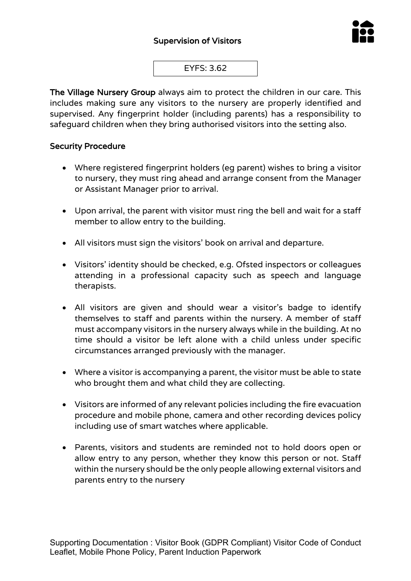

EYFS: 3.62

The Village Nursery Group always aim to protect the children in our care. This includes making sure any visitors to the nursery are properly identified and supervised. Any fingerprint holder (including parents) has a responsibility to safeguard children when they bring authorised visitors into the setting also.

## Security Procedure

- Where registered fingerprint holders (eg parent) wishes to bring a visitor to nursery, they must ring ahead and arrange consent from the Manager or Assistant Manager prior to arrival.
- Upon arrival, the parent with visitor must ring the bell and wait for a staff member to allow entry to the building.
- All visitors must sign the visitors' book on arrival and departure.
- Visitors' identity should be checked, e.g. Ofsted inspectors or colleagues attending in a professional capacity such as speech and language therapists.
- All visitors are given and should wear a visitor's badge to identify themselves to staff and parents within the nursery. A member of staff must accompany visitors in the nursery always while in the building. At no time should a visitor be left alone with a child unless under specific circumstances arranged previously with the manager.
- Where a visitor is accompanying a parent, the visitor must be able to state who brought them and what child they are collecting.
- Visitors are informed of any relevant policies including the fire evacuation procedure and mobile phone, camera and other recording devices policy including use of smart watches where applicable.
- Parents, visitors and students are reminded not to hold doors open or allow entry to any person, whether they know this person or not. Staff within the nursery should be the only people allowing external visitors and parents entry to the nursery